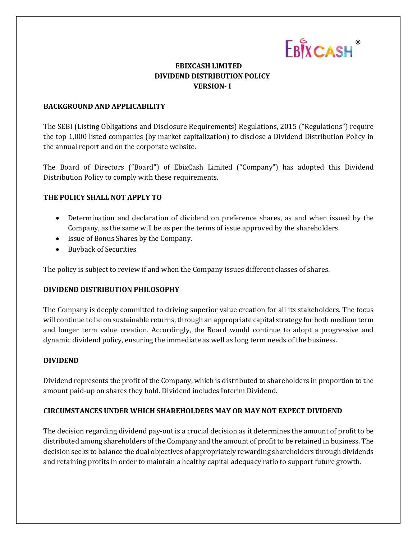

# **EBIXCASH LIMITED DIVIDEND DISTRIBUTION POLICY VERSION- I**

#### **BACKGROUND AND APPLICABILITY**

The SEBI (Listing Obligations and Disclosure Requirements) Regulations, 2015 ("Regulations") require the top 1,000 listed companies (by market capitalization) to disclose a Dividend Distribution Policy in the annual report and on the corporate website.

The Board of Directors ("Board") of EbixCash Limited ("Company") has adopted this Dividend Distribution Policy to comply with these requirements.

## **THE POLICY SHALL NOT APPLY TO**

- Determination and declaration of dividend on preference shares, as and when issued by the Company, as the same will be as per the terms of issue approved by the shareholders.
- Issue of Bonus Shares by the Company.
- Buyback of Securities

The policy is subject to review if and when the Company issues different classes of shares.

## **DIVIDEND DISTRIBUTION PHILOSOPHY**

The Company is deeply committed to driving superior value creation for all its stakeholders. The focus will continue to be on sustainable returns, through an appropriate capital strategy for both medium term and longer term value creation. Accordingly, the Board would continue to adopt a progressive and dynamic dividend policy, ensuring the immediate as well as long term needs of the business.

## **DIVIDEND**

Dividend represents the profit of the Company, which is distributed to shareholders in proportion to the amount paid-up on shares they hold. Dividend includes Interim Dividend.

## **CIRCUMSTANCES UNDER WHICH SHAREHOLDERS MAY OR MAY NOT EXPECT DIVIDEND**

The decision regarding dividend pay-out is a crucial decision as it determines the amount of profit to be distributed among shareholders of the Company and the amount of profit to be retained in business. The decision seeks to balance the dual objectives of appropriately rewarding shareholders through dividends and retaining profits in order to maintain a healthy capital adequacy ratio to support future growth.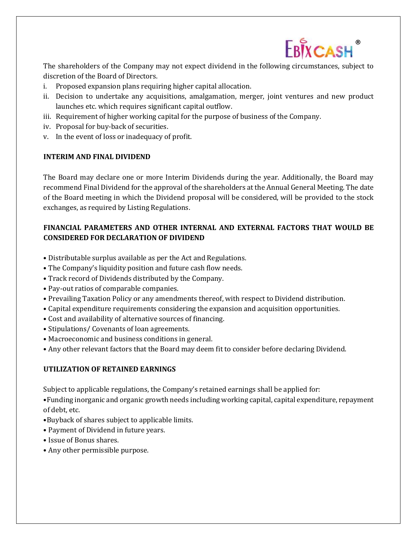

The shareholders of the Company may not expect dividend in the following circumstances, subject to discretion of the Board of Directors.

- i. Proposed expansion plans requiring higher capital allocation.
- ii. Decision to undertake any acquisitions, amalgamation, merger, joint ventures and new product launches etc. which requires significant capital outflow.
- iii. Requirement of higher working capital for the purpose of business of the Company.
- iv. Proposal for buy-back of securities.
- v. In the event of loss or inadequacy of profit.

#### **INTERIM AND FINAL DIVIDEND**

The Board may declare one or more Interim Dividends during the year. Additionally, the Board may recommend Final Dividend for the approval of the shareholders at the Annual General Meeting. The date of the Board meeting in which the Dividend proposal will be considered, will be provided to the stock exchanges, as required by Listing Regulations.

## **FINANCIAL PARAMETERS AND OTHER INTERNAL AND EXTERNAL FACTORS THAT WOULD BE CONSIDERED FOR DECLARATION OF DIVIDEND**

- Distributable surplus available as per the Act and Regulations.
- The Company's liquidity position and future cash flow needs.
- Track record of Dividends distributed by the Company.
- Pay-out ratios of comparable companies.
- Prevailing Taxation Policy or any amendments thereof, with respect to Dividend distribution.
- Capital expenditure requirements considering the expansion and acquisition opportunities.
- Cost and availability of alternative sources of financing.
- Stipulations/ Covenants of loan agreements.
- Macroeconomic and business conditions in general.
- Any other relevant factors that the Board may deem fit to consider before declaring Dividend.

## **UTILIZATION OF RETAINED EARNINGS**

Subject to applicable regulations, the Company's retained earnings shall be applied for:

•Funding inorganic and organic growth needs including working capital, capital expenditure, repayment of debt, etc.

- •Buyback of shares subject to applicable limits.
- Payment of Dividend in future years.
- Issue of Bonus shares.
- Any other permissible purpose.